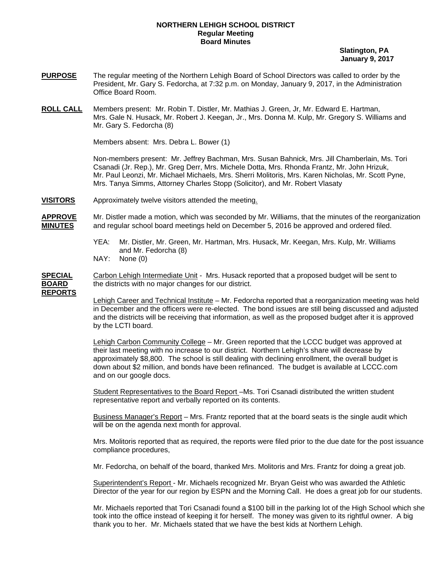## **NORTHERN LEHIGH SCHOOL DISTRICT Regular Meeting Board Minutes**

 **Slatington, PA January 9, 2017** 

- **PURPOSE** The regular meeting of the Northern Lehigh Board of School Directors was called to order by the President, Mr. Gary S. Fedorcha, at 7:32 p.m. on Monday, January 9, 2017, in the Administration Office Board Room.
- **ROLL CALL** Members present: Mr. Robin T. Distler, Mr. Mathias J. Green, Jr, Mr. Edward E. Hartman, Mrs. Gale N. Husack, Mr. Robert J. Keegan, Jr., Mrs. Donna M. Kulp, Mr. Gregory S. Williams and Mr. Gary S. Fedorcha (8)

Members absent: Mrs. Debra L. Bower (1)

Non-members present: Mr. Jeffrey Bachman, Mrs. Susan Bahnick, Mrs. Jill Chamberlain, Ms. Tori Csanadi (Jr. Rep.), Mr. Greg Derr, Mrs. Michele Dotta, Mrs. Rhonda Frantz, Mr. John Hrizuk, Mr. Paul Leonzi, Mr. Michael Michaels, Mrs. Sherri Molitoris, Mrs. Karen Nicholas, Mr. Scott Pyne, Mrs. Tanya Simms, Attorney Charles Stopp (Solicitor), and Mr. Robert Vlasaty

**VISITORS** Approximately twelve visitors attended the meeting.

**APPROVE** Mr. Distler made a motion, which was seconded by Mr. Williams, that the minutes of the reorganization **MINUTES** and regular school board meetings held on December 5, 2016 be approved and ordered filed.

- YEA: Mr. Distler, Mr. Green, Mr. Hartman, Mrs. Husack, Mr. Keegan, Mrs. Kulp, Mr. Williams and Mr. Fedorcha (8)
- NAY: None (0)

**SPECIAL** Carbon Lehigh Intermediate Unit - Mrs. Husack reported that a proposed budget will be sent to **BOARD** the districts with no major changes for our district. **REPORTS**

> Lehigh Career and Technical Institute – Mr. Fedorcha reported that a reorganization meeting was held in December and the officers were re-elected. The bond issues are still being discussed and adjusted and the districts will be receiving that information, as well as the proposed budget after it is approved by the LCTI board.

Lehigh Carbon Community College – Mr. Green reported that the LCCC budget was approved at their last meeting with no increase to our district. Northern Lehigh's share will decrease by approximately \$8,800. The school is still dealing with declining enrollment, the overall budget is down about \$2 million, and bonds have been refinanced. The budget is available at LCCC.com and on our google docs.

 Student Representatives to the Board Report –Ms. Tori Csanadi distributed the written student representative report and verbally reported on its contents.

Business Manager's Report – Mrs. Frantz reported that at the board seats is the single audit which will be on the agenda next month for approval.

Mrs. Molitoris reported that as required, the reports were filed prior to the due date for the post issuance compliance procedures,

Mr. Fedorcha, on behalf of the board, thanked Mrs. Molitoris and Mrs. Frantz for doing a great job.

 Superintendent's Report - Mr. Michaels recognized Mr. Bryan Geist who was awarded the Athletic Director of the year for our region by ESPN and the Morning Call. He does a great job for our students.

 Mr. Michaels reported that Tori Csanadi found a \$100 bill in the parking lot of the High School which she took into the office instead of keeping it for herself. The money was given to its rightful owner. A big thank you to her. Mr. Michaels stated that we have the best kids at Northern Lehigh.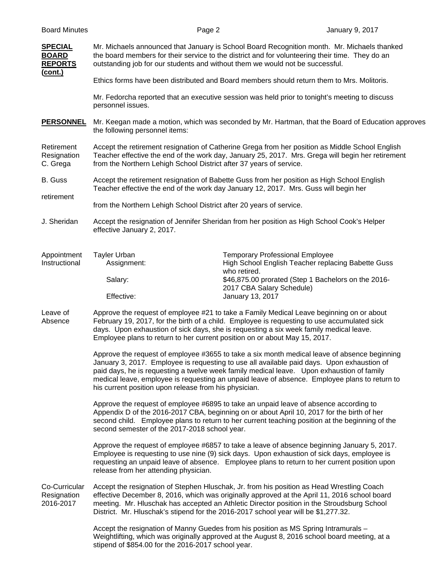| <b>SPECIAL</b><br><b>BOARD</b><br><b>REPORTS</b><br><u>(cont.)</u> | Mr. Michaels announced that January is School Board Recognition month. Mr. Michaels thanked<br>the board members for their service to the district and for volunteering their time. They do an<br>outstanding job for our students and without them we would not be successful.                                                                                                                                                                   |                                                                                                                                                                                      |  |  |
|--------------------------------------------------------------------|---------------------------------------------------------------------------------------------------------------------------------------------------------------------------------------------------------------------------------------------------------------------------------------------------------------------------------------------------------------------------------------------------------------------------------------------------|--------------------------------------------------------------------------------------------------------------------------------------------------------------------------------------|--|--|
|                                                                    | Ethics forms have been distributed and Board members should return them to Mrs. Molitoris.                                                                                                                                                                                                                                                                                                                                                        |                                                                                                                                                                                      |  |  |
|                                                                    | Mr. Fedorcha reported that an executive session was held prior to tonight's meeting to discuss<br>personnel issues.                                                                                                                                                                                                                                                                                                                               |                                                                                                                                                                                      |  |  |
| <b>PERSONNEL</b>                                                   | the following personnel items:                                                                                                                                                                                                                                                                                                                                                                                                                    | Mr. Keegan made a motion, which was seconded by Mr. Hartman, that the Board of Education approves                                                                                    |  |  |
| Retirement<br>Resignation<br>C. Grega                              | Accept the retirement resignation of Catherine Grega from her position as Middle School English<br>Teacher effective the end of the work day, January 25, 2017. Mrs. Grega will begin her retirement<br>from the Northern Lehigh School District after 37 years of service.                                                                                                                                                                       |                                                                                                                                                                                      |  |  |
| B. Guss                                                            | Accept the retirement resignation of Babette Guss from her position as High School English<br>Teacher effective the end of the work day January 12, 2017. Mrs. Guss will begin her                                                                                                                                                                                                                                                                |                                                                                                                                                                                      |  |  |
| retirement                                                         | from the Northern Lehigh School District after 20 years of service.                                                                                                                                                                                                                                                                                                                                                                               |                                                                                                                                                                                      |  |  |
| J. Sheridan                                                        | Accept the resignation of Jennifer Sheridan from her position as High School Cook's Helper<br>effective January 2, 2017.                                                                                                                                                                                                                                                                                                                          |                                                                                                                                                                                      |  |  |
| Appointment<br>Instructional                                       | <b>Tayler Urban</b><br>Assignment:                                                                                                                                                                                                                                                                                                                                                                                                                | <b>Temporary Professional Employee</b><br>High School English Teacher replacing Babette Guss<br>who retired.                                                                         |  |  |
|                                                                    | Salary:                                                                                                                                                                                                                                                                                                                                                                                                                                           | \$46,875.00 prorated (Step 1 Bachelors on the 2016-<br>2017 CBA Salary Schedule)                                                                                                     |  |  |
|                                                                    | Effective:                                                                                                                                                                                                                                                                                                                                                                                                                                        | January 13, 2017                                                                                                                                                                     |  |  |
| Leave of<br>Absence                                                | Approve the request of employee #21 to take a Family Medical Leave beginning on or about<br>February 19, 2017, for the birth of a child. Employee is requesting to use accumulated sick<br>days. Upon exhaustion of sick days, she is requesting a six week family medical leave.<br>Employee plans to return to her current position on or about May 15, 2017.                                                                                   |                                                                                                                                                                                      |  |  |
|                                                                    | Approve the request of employee #3655 to take a six month medical leave of absence beginning<br>January 3, 2017. Employee is requesting to use all available paid days. Upon exhaustion of<br>paid days, he is requesting a twelve week family medical leave. Upon exhaustion of family<br>medical leave, employee is requesting an unpaid leave of absence. Employee plans to return to<br>his current position upon release from his physician. |                                                                                                                                                                                      |  |  |
|                                                                    | Approve the request of employee #6895 to take an unpaid leave of absence according to<br>Appendix D of the 2016-2017 CBA, beginning on or about April 10, 2017 for the birth of her<br>second child. Employee plans to return to her current teaching position at the beginning of the<br>second semester of the 2017-2018 school year.                                                                                                           |                                                                                                                                                                                      |  |  |
|                                                                    | Approve the request of employee #6857 to take a leave of absence beginning January 5, 2017.<br>Employee is requesting to use nine (9) sick days. Upon exhaustion of sick days, employee is<br>requesting an unpaid leave of absence. Employee plans to return to her current position upon<br>release from her attending physician.                                                                                                               |                                                                                                                                                                                      |  |  |
| Co-Curricular<br>Resignation<br>2016-2017                          | Accept the resignation of Stephen Hluschak, Jr. from his position as Head Wrestling Coach<br>effective December 8, 2016, which was originally approved at the April 11, 2016 school board<br>meeting. Mr. Hluschak has accepted an Athletic Director position in the Stroudsburg School<br>District. Mr. Hluschak's stipend for the 2016-2017 school year will be \$1,277.32.                                                                     |                                                                                                                                                                                      |  |  |
|                                                                    | stipend of \$854.00 for the 2016-2017 school year.                                                                                                                                                                                                                                                                                                                                                                                                | Accept the resignation of Manny Guedes from his position as MS Spring Intramurals -<br>Weightlifting, which was originally approved at the August 8, 2016 school board meeting, at a |  |  |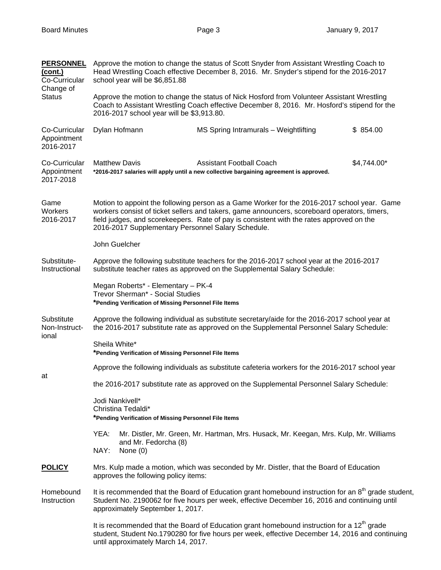| <b>PERSONNEL</b><br>(cont.)<br>Co-Curricular<br>Change of | Approve the motion to change the status of Scott Snyder from Assistant Wrestling Coach to<br>Head Wrestling Coach effective December 8, 2016. Mr. Snyder's stipend for the 2016-2017<br>school year will be \$6,851.88                                                                                                                        |                                                                                                                                                                                                 |             |  |
|-----------------------------------------------------------|-----------------------------------------------------------------------------------------------------------------------------------------------------------------------------------------------------------------------------------------------------------------------------------------------------------------------------------------------|-------------------------------------------------------------------------------------------------------------------------------------------------------------------------------------------------|-------------|--|
| <b>Status</b>                                             | Approve the motion to change the status of Nick Hosford from Volunteer Assistant Wrestling<br>Coach to Assistant Wrestling Coach effective December 8, 2016. Mr. Hosford's stipend for the<br>2016-2017 school year will be \$3,913.80.                                                                                                       |                                                                                                                                                                                                 |             |  |
| Co-Curricular<br>Appointment<br>2016-2017                 | Dylan Hofmann                                                                                                                                                                                                                                                                                                                                 | MS Spring Intramurals - Weightlifting                                                                                                                                                           | \$854.00    |  |
| Co-Curricular<br>Appointment<br>2017-2018                 | <b>Matthew Davis</b>                                                                                                                                                                                                                                                                                                                          | <b>Assistant Football Coach</b><br>*2016-2017 salaries will apply until a new collective bargaining agreement is approved.                                                                      | \$4,744.00* |  |
| Game<br><b>Workers</b><br>2016-2017                       | Motion to appoint the following person as a Game Worker for the 2016-2017 school year. Game<br>workers consist of ticket sellers and takers, game announcers, scoreboard operators, timers,<br>field judges, and scorekeepers. Rate of pay is consistent with the rates approved on the<br>2016-2017 Supplementary Personnel Salary Schedule. |                                                                                                                                                                                                 |             |  |
|                                                           | John Guelcher                                                                                                                                                                                                                                                                                                                                 |                                                                                                                                                                                                 |             |  |
| Substitute-<br>Instructional                              | Approve the following substitute teachers for the 2016-2017 school year at the 2016-2017<br>substitute teacher rates as approved on the Supplemental Salary Schedule:                                                                                                                                                                         |                                                                                                                                                                                                 |             |  |
|                                                           | Megan Roberts* - Elementary - PK-4<br>Trevor Sherman* - Social Studies<br>*Pending Verification of Missing Personnel File Items                                                                                                                                                                                                               |                                                                                                                                                                                                 |             |  |
| Substitute<br>Non-Instruct-<br>ional                      | Approve the following individual as substitute secretary/aide for the 2016-2017 school year at<br>the 2016-2017 substitute rate as approved on the Supplemental Personnel Salary Schedule:                                                                                                                                                    |                                                                                                                                                                                                 |             |  |
|                                                           | Sheila White*<br>*Pending Verification of Missing Personnel File Items                                                                                                                                                                                                                                                                        |                                                                                                                                                                                                 |             |  |
| at                                                        | Approve the following individuals as substitute cafeteria workers for the 2016-2017 school year                                                                                                                                                                                                                                               |                                                                                                                                                                                                 |             |  |
|                                                           | the 2016-2017 substitute rate as approved on the Supplemental Personnel Salary Schedule:                                                                                                                                                                                                                                                      |                                                                                                                                                                                                 |             |  |
|                                                           | Jodi Nankivell*<br>Christina Tedaldi*<br>*Pending Verification of Missing Personnel File Items                                                                                                                                                                                                                                                |                                                                                                                                                                                                 |             |  |
|                                                           | YEA:                                                                                                                                                                                                                                                                                                                                          | Mr. Distler, Mr. Green, Mr. Hartman, Mrs. Husack, Mr. Keegan, Mrs. Kulp, Mr. Williams                                                                                                           |             |  |
|                                                           | and Mr. Fedorcha (8)<br>NAY:<br>None $(0)$                                                                                                                                                                                                                                                                                                    |                                                                                                                                                                                                 |             |  |
| <b>POLICY</b>                                             | Mrs. Kulp made a motion, which was seconded by Mr. Distler, that the Board of Education<br>approves the following policy items:                                                                                                                                                                                                               |                                                                                                                                                                                                 |             |  |
| Homebound<br>Instruction                                  | It is recommended that the Board of Education grant homebound instruction for an 8 <sup>th</sup> grade student,<br>Student No. 2190062 for five hours per week, effective December 16, 2016 and continuing until<br>approximately September 1, 2017.                                                                                          |                                                                                                                                                                                                 |             |  |
|                                                           | until approximately March 14, 2017.                                                                                                                                                                                                                                                                                                           | It is recommended that the Board of Education grant homebound instruction for a $12th$ grade<br>student, Student No.1790280 for five hours per week, effective December 14, 2016 and continuing |             |  |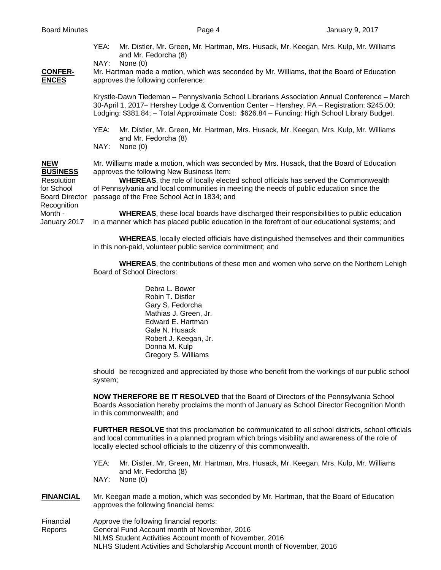YEA: Mr. Distler, Mr. Green, Mr. Hartman, Mrs. Husack, Mr. Keegan, Mrs. Kulp, Mr. Williams and Mr. Fedorcha (8)

NAY: None (0)

**CONFER-** Mr. Hartman made a motion, which was seconded by Mr. Williams, that the Board of Education **ENCES** approves the following conference:

> Krystle-Dawn Tiedeman – Pennyslvania School Librarians Association Annual Conference – March 30-April 1, 2017– Hershey Lodge & Convention Center – Hershey, PA – Registration: \$245.00; Lodging: \$381.84; – Total Approximate Cost: \$626.84 – Funding: High School Library Budget.

- YEA: Mr. Distler, Mr. Green, Mr. Hartman, Mrs. Husack, Mr. Keegan, Mrs. Kulp, Mr. Williams and Mr. Fedorcha (8)
- NAY: None (0)

**Recognition** 

**NEW** Mr. Williams made a motion, which was seconded by Mrs. Husack, that the Board of Education **BUSINESS** approves the following New Business Item:

 Resolution **WHEREAS**, the role of locally elected school officials has served the Commonwealth for School of Pennsylvania and local communities in meeting the needs of public education since the Board Director passage of the Free School Act in 1834; and

 Month - **WHEREAS**, these local boards have discharged their responsibilities to public education January 2017 in a manner which has placed public education in the forefront of our educational systems; and

> **WHEREAS**, locally elected officials have distinguished themselves and their communities in this non-paid, volunteer public service commitment; and

> **WHEREAS**, the contributions of these men and women who serve on the Northern Lehigh Board of School Directors:

> > Debra L. Bower Robin T. Distler Gary S. Fedorcha Mathias J. Green, Jr. Edward E. Hartman Gale N. Husack Robert J. Keegan, Jr. Donna M. Kulp Gregory S. Williams

should be recognized and appreciated by those who benefit from the workings of our public school system;

**NOW THEREFORE BE IT RESOLVED** that the Board of Directors of the Pennsylvania School Boards Association hereby proclaims the month of January as School Director Recognition Month in this commonwealth; and

**FURTHER RESOLVE** that this proclamation be communicated to all school districts, school officials and local communities in a planned program which brings visibility and awareness of the role of locally elected school officials to the citizenry of this commonwealth.

- YEA: Mr. Distler, Mr. Green, Mr. Hartman, Mrs. Husack, Mr. Keegan, Mrs. Kulp, Mr. Williams and Mr. Fedorcha (8) NAY: None (0)
- **FINANCIAL** Mr. Keegan made a motion, which was seconded by Mr. Hartman, that the Board of Education approves the following financial items:
- Financial Approve the following financial reports: Reports General Fund Account month of November, 2016 NLMS Student Activities Account month of November, 2016 NLHS Student Activities and Scholarship Account month of November, 2016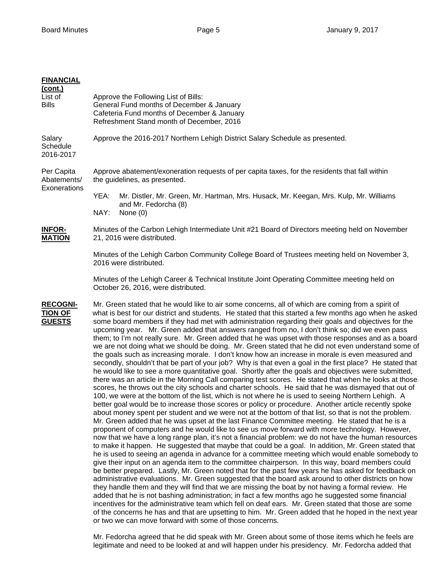| <b>FINANCIAL</b><br><u>(cont.)</u><br>List of<br><b>Bills</b> | Approve the Following List of Bills:<br>General Fund months of December & January<br>Cafeteria Fund months of December & January<br>Refreshment Stand month of December, 2016                                                                                                                                                                                                                                                                                                                                                                                                                                                                                                                                                                                                                                                                                                                                                                                                                                                                                                                                                                                                                                                                                                                                                                                                                                                                                                                                                                                                                                                                                                                                                                                                                                                                                                                                                                                                                                                                                                                                                                                                                                                                                                                                                                                                                                                                                                                                                                                                                                                                                                                                                                                                                                                         |  |  |
|---------------------------------------------------------------|---------------------------------------------------------------------------------------------------------------------------------------------------------------------------------------------------------------------------------------------------------------------------------------------------------------------------------------------------------------------------------------------------------------------------------------------------------------------------------------------------------------------------------------------------------------------------------------------------------------------------------------------------------------------------------------------------------------------------------------------------------------------------------------------------------------------------------------------------------------------------------------------------------------------------------------------------------------------------------------------------------------------------------------------------------------------------------------------------------------------------------------------------------------------------------------------------------------------------------------------------------------------------------------------------------------------------------------------------------------------------------------------------------------------------------------------------------------------------------------------------------------------------------------------------------------------------------------------------------------------------------------------------------------------------------------------------------------------------------------------------------------------------------------------------------------------------------------------------------------------------------------------------------------------------------------------------------------------------------------------------------------------------------------------------------------------------------------------------------------------------------------------------------------------------------------------------------------------------------------------------------------------------------------------------------------------------------------------------------------------------------------------------------------------------------------------------------------------------------------------------------------------------------------------------------------------------------------------------------------------------------------------------------------------------------------------------------------------------------------------------------------------------------------------------------------------------------------|--|--|
| Salary<br>Schedule<br>2016-2017                               | Approve the 2016-2017 Northern Lehigh District Salary Schedule as presented.                                                                                                                                                                                                                                                                                                                                                                                                                                                                                                                                                                                                                                                                                                                                                                                                                                                                                                                                                                                                                                                                                                                                                                                                                                                                                                                                                                                                                                                                                                                                                                                                                                                                                                                                                                                                                                                                                                                                                                                                                                                                                                                                                                                                                                                                                                                                                                                                                                                                                                                                                                                                                                                                                                                                                          |  |  |
| Per Capita<br>Abatements/<br>Exonerations                     | Approve abatement/exoneration requests of per capita taxes, for the residents that fall within<br>the guidelines, as presented.<br>YEA:<br>Mr. Distler, Mr. Green, Mr. Hartman, Mrs. Husack, Mr. Keegan, Mrs. Kulp, Mr. Williams<br>and Mr. Fedorcha (8)                                                                                                                                                                                                                                                                                                                                                                                                                                                                                                                                                                                                                                                                                                                                                                                                                                                                                                                                                                                                                                                                                                                                                                                                                                                                                                                                                                                                                                                                                                                                                                                                                                                                                                                                                                                                                                                                                                                                                                                                                                                                                                                                                                                                                                                                                                                                                                                                                                                                                                                                                                              |  |  |
|                                                               | NAY:<br>None $(0)$                                                                                                                                                                                                                                                                                                                                                                                                                                                                                                                                                                                                                                                                                                                                                                                                                                                                                                                                                                                                                                                                                                                                                                                                                                                                                                                                                                                                                                                                                                                                                                                                                                                                                                                                                                                                                                                                                                                                                                                                                                                                                                                                                                                                                                                                                                                                                                                                                                                                                                                                                                                                                                                                                                                                                                                                                    |  |  |
| <b>INFOR-</b><br><b>MATION</b>                                | Minutes of the Carbon Lehigh Intermediate Unit #21 Board of Directors meeting held on November<br>21, 2016 were distributed.                                                                                                                                                                                                                                                                                                                                                                                                                                                                                                                                                                                                                                                                                                                                                                                                                                                                                                                                                                                                                                                                                                                                                                                                                                                                                                                                                                                                                                                                                                                                                                                                                                                                                                                                                                                                                                                                                                                                                                                                                                                                                                                                                                                                                                                                                                                                                                                                                                                                                                                                                                                                                                                                                                          |  |  |
|                                                               | Minutes of the Lehigh Carbon Community College Board of Trustees meeting held on November 3,<br>2016 were distributed.                                                                                                                                                                                                                                                                                                                                                                                                                                                                                                                                                                                                                                                                                                                                                                                                                                                                                                                                                                                                                                                                                                                                                                                                                                                                                                                                                                                                                                                                                                                                                                                                                                                                                                                                                                                                                                                                                                                                                                                                                                                                                                                                                                                                                                                                                                                                                                                                                                                                                                                                                                                                                                                                                                                |  |  |
|                                                               | Minutes of the Lehigh Career & Technical Institute Joint Operating Committee meeting held on<br>October 26, 2016, were distributed.                                                                                                                                                                                                                                                                                                                                                                                                                                                                                                                                                                                                                                                                                                                                                                                                                                                                                                                                                                                                                                                                                                                                                                                                                                                                                                                                                                                                                                                                                                                                                                                                                                                                                                                                                                                                                                                                                                                                                                                                                                                                                                                                                                                                                                                                                                                                                                                                                                                                                                                                                                                                                                                                                                   |  |  |
| <b>RECOGNI-</b><br><b>TION OF</b><br><b>GUESTS</b>            | Mr. Green stated that he would like to air some concerns, all of which are coming from a spirit of<br>what is best for our district and students. He stated that this started a few months ago when he asked<br>some board members if they had met with administration regarding their goals and objectives for the<br>upcoming year. Mr. Green added that answers ranged from no, I don't think so; did we even pass<br>them; to I'm not really sure. Mr. Green added that he was upset with those responses and as a board<br>we are not doing what we should be doing. Mr. Green stated that he did not even understand some of<br>the goals such as increasing morale. I don't know how an increase in morale is even measured and<br>secondly, shouldn't that be part of your job? Why is that even a goal in the first place? He stated that<br>he would like to see a more quantitative goal. Shortly after the goals and objectives were submitted,<br>there was an article in the Morning Call comparing test scores. He stated that when he looks at those<br>scores, he throws out the city schools and charter schools. He said that he was dismayed that out of<br>100, we were at the bottom of the list, which is not where he is used to seeing Northern Lehigh. A<br>better goal would be to increase those scores or policy or procedure. Another article recently spoke<br>about money spent per student and we were not at the bottom of that list, so that is not the problem.<br>Mr. Green added that he was upset at the last Finance Committee meeting. He stated that he is a<br>proponent of computers and he would like to see us move forward with more technology. However,<br>now that we have a long range plan, it's not a financial problem: we do not have the human resources<br>to make it happen. He suggested that maybe that could be a goal. In addition, Mr. Green stated that<br>he is used to seeing an agenda in advance for a committee meeting which would enable somebody to<br>give their input on an agenda item to the committee chairperson. In this way, board members could<br>be better prepared. Lastly, Mr. Green noted that for the past few years he has asked for feedback on<br>administrative evaluations. Mr. Green suggested that the board ask around to other districts on how<br>they handle them and they will find that we are missing the boat by not having a formal review. He<br>added that he is not bashing administration; in fact a few months ago he suggested some financial<br>incentives for the administrative team which fell on deaf ears. Mr. Green stated that those are some<br>of the concerns he has and that are upsetting to him. Mr. Green added that he hoped in the next year<br>or two we can move forward with some of those concerns. |  |  |

 Mr. Fedorcha agreed that he did speak with Mr. Green about some of those items which he feels are legitimate and need to be looked at and will happen under his presidency. Mr. Fedorcha added that